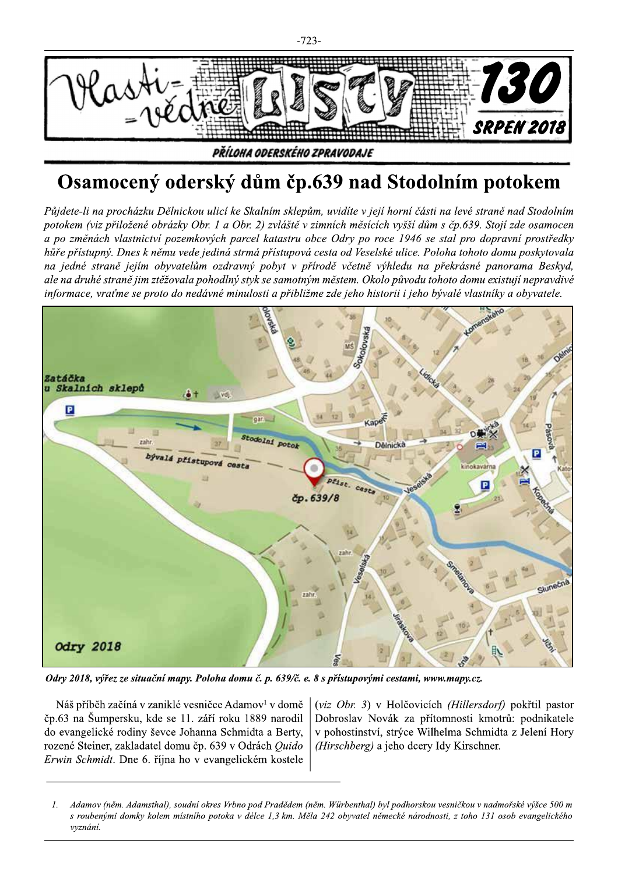

 $\begin{array}{r} \hline \textbf{W} \textbf{W} \textbf{W} \textbf{W} \textbf{W} \textbf{W} \textbf{W} \textbf{W} \textbf{W} \textbf{W} \textbf{W} \textbf{W} \textbf{W} \textbf{W} \textbf{W} \textbf{W} \textbf{W} \textbf{W} \textbf{W} \textbf{W} \textbf{W} \textbf{W} \textbf{W} \textbf{W} \textbf{W} \textbf{W} \textbf{W} \textbf{W} \textbf{W} \textbf{W} \textbf{W} \textbf{W} \textbf{W} \textbf{W} \textbf{W}$ ale na druhé straně jim ztěžovala pohodlný styk se samotným městem. Okolo původu tohoto domu existují nepravdivé informace, vraťme se proto do nedávné minulosti a přibližme zde jeho historii i jeho bývalé vlastníky a obyvatele.



čp.63 na Šumpersku, kde se 11. září roku 1889 narodil Dobroslav Novák za přítomnosti kmotrů: podnikatele<br>do evangelické rodiny ševce Johanna Schmidta a Berty, v pohostinství, strýce Wilhelma Schmidta z Jelení Hory do evangelické rodiny ševce Johanna Schmidta a Berty, v pohostinství, strýce Wilhelma Schmidta rozené Steiner, zakladatel domu čp. 639 v Odrách *Ouido* (Hirschberg) a jeho dcery Idy Kirschner. rozené Steiner, zakladatel domu čp. 639 v Odrách Quido Erwin Schmidt. Dne 6. října ho v evangelickém kostele **Odry 2018, vyřez ze situační mapy. Poloha domu č. p. 659/c. e. 8 s přistupovými cestami, www.mapy.cz.**<br>Náš příběh začíná v zaniklé vesničce Adamov<sup>1</sup> v domě  $\left| \begin{array}{l} (viz \space Obr. 3) \space v \space Holčovicích \space (Hillersdorf) \space polyfitel\end{array} \right|$  pokřtil

Náš příběh začíná v zaniklé vesničce Adamov<sup>1</sup> v domě  $\left| \begin{array}{cc} (viz \ Obr. 3) \ v \ Hol\o{v}~\n\end{array} \right|$  (*Viz Obr. 3*) v Holčovicích *(Hillersdorf)* pokřtil pastor<br>63 na Šumpersku, kde se 11. září roku 1889 narodil Dobroslav Novák

<sup>0.63</sup> na Sumpersku, kde se 11. září roku 1889 narodil | Dobroslav Novák za přítomnosti kmotrů: podnikatele<br>
20.63 na Sumgelické rodiny ševce Johanna Schmidta a Berty, v pohostinství, strýce Wilhelma Schmidta z Jelení Hory<br>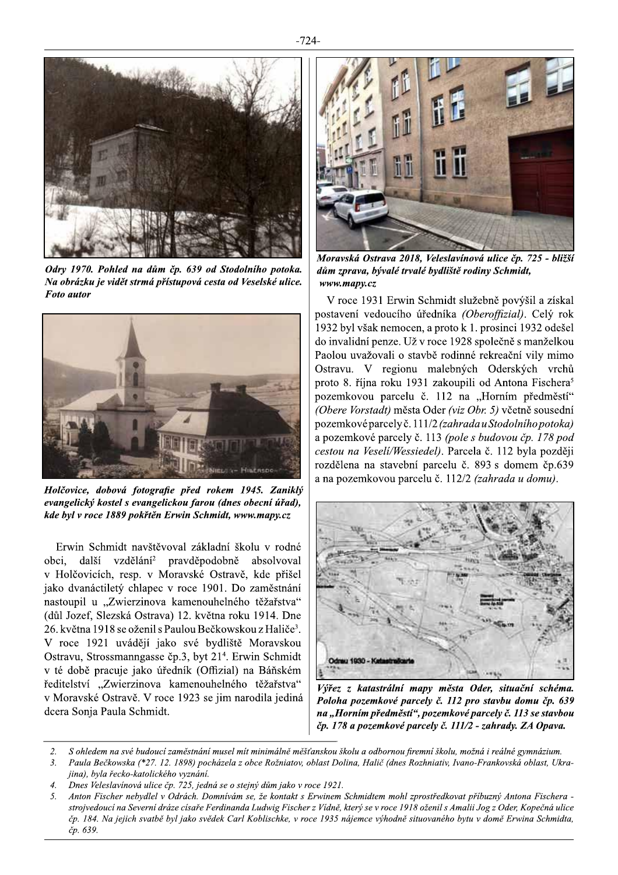

Odry 1970. Pohled na dům čp. 639 od Stodolního potoka. Na obrázku je vidět strmá přístupová cesta od Veselské ulice. **Foto** autor



Holčovice, dobová fotografie před rokem 1945. Zaniklý evangelický kostel s evangelickou farou (dnes obecní úřad), kde byl v roce 1889 pokřtěn Erwin Schmidt, www.mapy.cz

Erwin Schmidt navštěvoval základní školu v rodné obci. další vzdělání<sup>2</sup> pravděpodobně absolvoval v Holčovicích, resp. v Moravské Ostravě, kde přišel jako dvanáctiletý chlapec v roce 1901. Do zaměstnání nastoupil u "Zwierzinova kamenouhelného těžařstva" (důl Jozef, Slezská Ostrava) 12. května roku 1914. Dne 26. května 1918 se oženil s Paulou Bečkowskou z Haliče<sup>3</sup>. V roce 1921 uvádějí jako své bydliště Moravskou Ostravu, Strossmanngasse čp.3, byt 21<sup>4</sup>. Erwin Schmidt v té době pracuje jako úředník (Offizial) na Báňském ředitelství "Zwierzinova kamenouhelného těžařstva" v Moravské Ostravě. V roce 1923 se jim narodila jediná dcera Sonja Paula Schmidt.



Moravská Ostrava 2018, Veleslavínová ulice čp. 725 - bližší dům zprava, bývalé trvalé bydliště rodiny Schmidt, www.mapy.cz

V roce 1931 Erwin Schmidt služebně povýšil a získal postavení vedoucího úředníka (Oberoffizial). Celý rok 1932 byl však nemocen, a proto k 1. prosinci 1932 odešel do invalidní penze. Už v roce 1928 společně s manželkou Paolou uvažovali o stavbě rodinné rekreační vily mimo Ostravu. V regionu malebných Oderských vrchů proto 8. října roku 1931 zakoupili od Antona Fischera<sup>5</sup> pozemkovou parcelu č. 112 na "Horním předměstí" (Obere Vorstadt) města Oder (viz Obr. 5) včetně sousední pozemkové parcely č. 111/2 (zahrada u Stodolního potoka) a pozemkové parcely č. 113 (pole s budovou čp. 178 pod cestou na Veseli/Wessiedel). Parcela č. 112 byla později rozdělena na stavební parcelu č. 893 s domem čp.639 a na pozemkovou parcelu č. 112/2 (zahrada u domu).



Výřez z katastrální mapy města Oder, situační schéma. Poloha pozemkové parcely č. 112 pro stavbu domu čp. 639 na "Horním předměstí", pozemkové parcely č. 113 se stavbou čp. 178 a pozemkové parcely č. 111/2 - zahrady. ZA Opava.

- S ohledem na své budoucí zaměstnání musel mít minimálně měšťanskou školu a odbornou firemní školu, možná i reálné gymnázium.  $\mathcal{L}$
- Paula Bečkowska (\*27. 12. 1898) pocházela z obce Rožniatov, oblast Dolina, Halič (dnes Rozhniativ, Ivano-Frankovská oblast, Ukra- $3.$ jina), byla řecko-katolického vyznání.
- $\overline{4}$ . Dnes Veleslavínová ulice čp. 725, jedná se o stejný dům jako v roce 1921.
- Anton Fischer nebydlel v Odrách. Domnívám se, že kontakt s Erwinem Schmidtem mohl zprostředkovat příbuzný Antona Fischera - $\sqrt{2}$ strojvedoucí na Severní dráze císaře Ferdinanda Ludwig Fischer z Vídně, který se v roce 1918 oženil s Amalii Jog z Oder, Kopečná ulice čp. 184. Na jejich svatbě byl jako svědek Carl Koblischke, v roce 1935 nájemce výhodně situovaného bytu v domě Erwina Schmidta, čp. 639.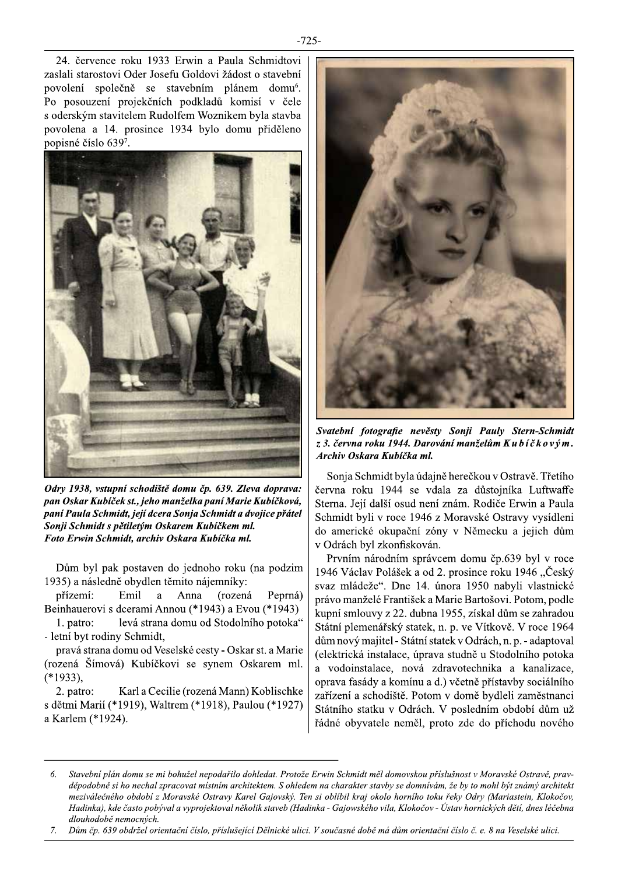

Odry 1938, vstupní schodiště domu čp. 639. Zleva doprava: pan Oskar Kubiček st., jeho manželka paní Marie Kubíčková, paní Paula Schmidt, její dcera Sonja Schmidt a dvojice přátel Sonji Schmidt s pětiletým Oskarem Kubíčkem ml. Foto Erwin Schmidt, archiv Oskara Kubíčka ml.

Dům byl pak postaven do jednoho roku (na podzim 1935) a následně obydlen těmito nájemníky:

přízemí: Emil a a Anna (rozená Peprná) Beinhauerovi s dcerami Annou (\*1943) a Evou (\*1943)

levá strana domu od Stodolního potoka" 1. patro: - letní byt rodiny Schmidt,

pravá strana domu od Veselské cesty - Oskar st. a Marie (rozená Šímová) Kubíčkovi se synem Oskarem ml.  $(*1933),$ 

2. patro: Karl a Cecilie (rozená Mann) Koblischke s dětmi Marií (\*1919), Waltrem (\*1918), Paulou (\*1927) a Karlem (\*1924).



Svatební fotografie nevěsty Sonji Pauly Stern-Schmidt z 3. června roku 1944. Darování manželům Kubíčkovým. Archiv Oskara Kubíčka ml.

Sonja Schmidt byla údajně herečkou v Ostravě. Třetího června roku 1944 se vdala za důstojníka Luftwaffe Sterna. Její další osud není znám. Rodiče Erwin a Paula Schmidt byli v roce 1946 z Moravské Ostravy vysídleni do americké okupační zóny v Německu a jejich dům v Odrách byl zkonfiskován.

Prvním národním správcem domu čp.639 byl v roce 1946 Václav Polášek a od 2. prosince roku 1946 "Český svaz mládeže". Dne 14. února 1950 nabyli vlastnické právo manželé František a Marie Bartošovi. Potom, podle kupní smlouvy z 22. dubna 1955, získal dům se zahradou Státní plemenářský statek, n. p. ve Vítkově. V roce 1964 dům nový majitel - Státní statek v Odrách, n. p. - adaptoval (elektrická instalace, úprava studně u Stodolního potoka a vodoinstalace, nová zdravotechnika a kanalizace, oprava fasády a komínu a d.) včetně přístavby sociálního zařízení a schodiště. Potom v domě bydleli zaměstnanci Státního statku v Odrách. V posledním období dům už řádné obyvatele neměl, proto zde do příchodu nového

Dům čp. 639 obdržel orientační číslo, příslušející Dělnické ulici. V současné době má dům orientační číslo č. e. 8 na Veselské ulici.  $7.$ 

<sup>6.</sup> Stavební plán domu se mi bohužel nepodařilo dohledat. Protože Erwin Schmidt měl domovskou příslušnost v Moravské Ostravě, pravděpodobně si ho nechal zpracovat místním architektem. S ohledem na charakter stavby se domnívám, že by to mohl být známý architekt meziválečného období z Moravské Ostravy Karel Gajovský. Ten si oblíbil kraj okolo horního toku řeky Odry (Mariastein, Klokočov, Hadinka), kde často pobýval a vyprojektoval několik staveb (Hadinka - Gajowského vila, Klokočov - Ústav hornických dětí, dnes léčebna dlouhodobě nemocných.